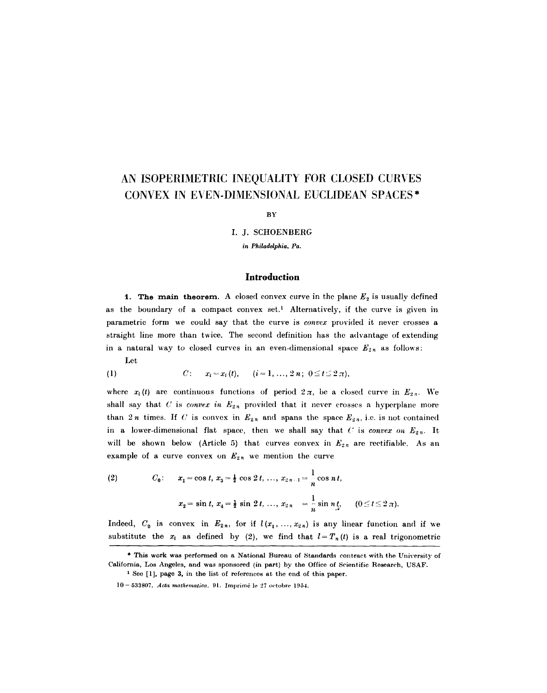# AN ISOPERIMETRIC INEQUALITY FOR CLOSED CURVES CONVEX IN EVEN-DIMENSIONAL EUCLIDEAN SPACES\*

**BY** 

I. J. SCHOENBERG

*in Philadelphia, Pa.* 

# **Introduction**

1. The main theorem. A closed convex curve in the plane  $E_2$  is usually defined as the boundary of a compact convex set.<sup>1</sup> Alternatively, if the curve is given in parametric form we could say that the curve is *convex* provided it never crosses a straight line more than twice. The second definition has the advantage of extending in a natural way to closed curves in an even-dimensional space  $E_{2n}$  as follows:

Let

(1) 
$$
C: \quad x_i = x_i(t), \quad (i = 1, ..., 2n; 0 \leq t \leq 2\pi),
$$

where  $x_i(t)$  are continuous functions of period  $2\pi$ , be a closed curve in  $E_{2n}$ . We shall say that  $C$  is *convex in*  $E_{2n}$  provided that it never crosses a hyperplane more than 2n times. If C is convex in  $E_{2n}$  and spans the space  $E_{2n}$ , i.e. is not contained in a lower-dimensional flat space, then we shall say that  $C$  is *convex on*  $E_{2n}$ . It will be shown below (Article 5) that curves convex in  $E_{2n}$  are rectifiable. As an example of a curve convex on  $E_{2n}$  we mention the curve

(2) 
$$
C_0
$$
:  $x_1 = \cos t, x_3 = \frac{1}{2} \cos 2t, ..., x_{2n-1} = \frac{1}{n} \cos nt,$   
 $x_2 = \sin t, x_4 = \frac{1}{2} \sin 2t, ..., x_{2n} = \frac{1}{n} \sin n t, \quad (0 \le t \le 2 \pi).$ 

Indeed,  $C_0$  is convex in  $E_{2n}$ , for if  $l(x_1, ..., x_{2n})$  is any linear function and if we substitute the  $x_i$  as defined by (2), we find that  $l=T_n(t)$  is a real trigonometric

<sup>\*</sup> This work was performed on a National Bureau of Standards contract with the University of California, Los Angeles, and was sponsored (in part) by the Office of Scientific Research, USAF.

<sup>&</sup>lt;sup>1</sup> See [1], page 3, in the list of references at the end of this paper.

lO- 533807. *Acta mathematiea.* 91. Imprimd le 27 octobre 1954.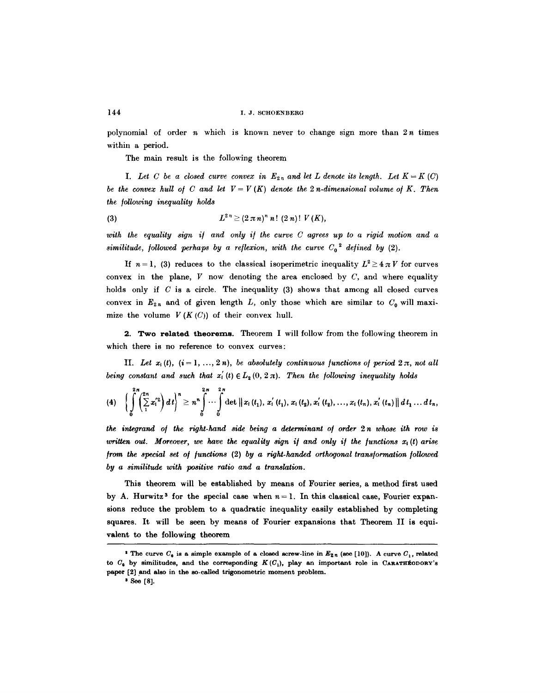polynomial of order  $n$  which is known never to change sign more than  $2n$  times within a period.

The main result is the following theorem

*I. Let C be a closed curve convex in*  $E_{2n}$  *and let L denote its length. Let*  $K = K(C)$ *be the convex hull of C and let*  $V = V(K)$  *denote the 2 n-dimensional volume of K. Then the /ollowiny inequality holds* 

(3) 
$$
L^{2n} \geq (2 \pi n)^n n! (2 n)! V(K),
$$

with the equality sign if and only if the curve C agrees up to a rigid motion and a *similitude, followed perhaps by a reflexion, with the curve*  $C_0^2$  defined by (2).

If  $n=1$ , (3) reduces to the classical isoperimetric inequality  $L^2 \geq 4 \pi V$  for curves convex in the plane,  $V$  now denoting the area enclosed by  $C$ , and where equality holds only if  $C$  is a circle. The inequality (3) shows that among all closed curves convex in  $E_{2n}$  and of given length L, only those which are similar to  $C_0$  will maximize the volume  $V(K(C))$  of their convex hull.

2. **Two related theorems.** Theorem I will follow from the following theorem in which there is no reference to convex curves:

II. Let  $x_i(t)$ ,  $(i = 1, ..., 2n)$ , be absolutely continuous functions of period  $2\pi$ , not all *being constant and such that*  $x'_{i}(t) \in L_{2}(0, 2\pi)$ . Then the following inequality holds

$$
(4) \quad \bigg\{\int\limits_{0}^{2\pi}\left(\sum\limits_{1}^{2n}x_{i}^{'2}\right)dt\bigg\}^{n}\geq n^{n}\int\limits_{0}^{2\pi}\cdots\int\limits_{0}^{2\pi}\det\left\|x_{i}\left(t_{1}\right),\,x_{i}^{'}\left(t_{1}\right),\,x_{i}\left(t_{2}\right),\,x_{i}^{'}\left(t_{2}\right),\,\ldots,\,x_{i}\left(t_{n}\right),\,x_{i}^{'}\left(t_{n}\right)\right\|dt_{1}\,\ldots\,dt_{n},
$$

*the inteqrand o/ the right-hand side being a determinant o/ order 2 n whose ith row is*  written out. Moreover, we have the equality sign if and only if the functions  $x_i(t)$  arise *from the special set of functions (2) by a right-handed orthogonal transformation followed by a similitude with positive ratio and a translation,.* 

This theorem will be established by means of Fourier series, a method first used by A. Hurwitz<sup>3</sup> for the special case when  $n=1$ . In this classical case, Fourier expansions reduce the problem to a quadratic inequality easily established by completing squares. It will be seen by means of Fourier expansions that Theorem II is equivalent to the following theorem

<sup>&</sup>lt;sup>2</sup> The curve  $C_0$  is a simple example of a closed screw-line in  $E_{2n}$  (see [10]). A curve  $C_1$ , related to  $C_0$  by similitudes, and the corresponding  $K(C_1)$ , play an important role in CARATHEODORY's paper [2] and also in the so-called trigonometric moment problem.

<sup>&</sup>lt;sup>3</sup> See [8].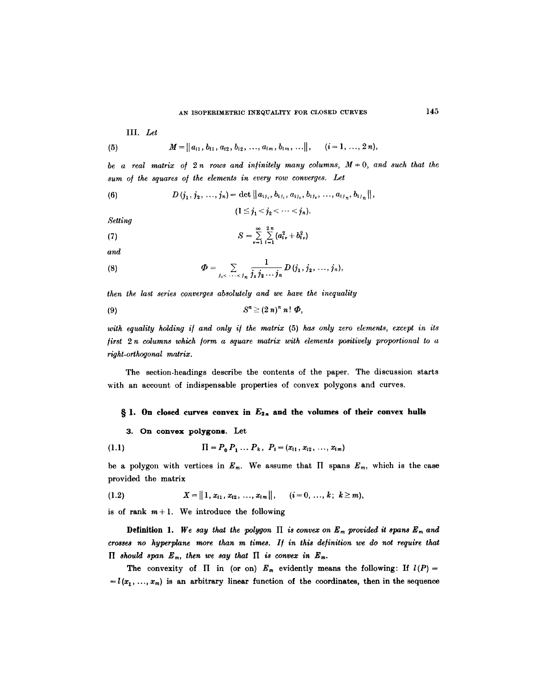III. *Let* 

(5) 
$$
M = ||a_{i1}, b_{i1}, a_{i2}, b_{i2}, ..., a_{im}, b_{im}, ...||, \quad (i = 1, ..., 2n),
$$

*be a real matrix of 2 n rows and infinitely many columns,*  $M = 0$ , and such that the *sum o/ the squares o/ the elements in every row converges. Let* 

(6) 
$$
D(j_1, j_2, ..., j_n) = \det ||a_{ij_1}, b_{ij_1}, a_{ij_2}, b_{ij_3}, ..., a_{ij_n}, b_{ij_n}||,
$$

 $(1 \leq j_1 < j_2 < \cdots < j_n).$ 

*Setting* 

(7) 
$$
S = \sum_{\nu=1}^{\infty} \sum_{i=1}^{2n} (a_{i\nu}^2 + b_{i\nu}^2)
$$

*and* 

(8) 
$$
\Phi = \sum_{j_1 < \cdots < j_n} \frac{1}{j_1 j_2 \cdots j_n} D(j_1, j_2, \ldots, j_n),
$$

*then the last series converges absolutely and we have the inequality* 

$$
(9) \tSn \ge (2 n)n n! \Phi,
$$

*with equality holding i/ and only i/ the matrix* (5) has *only zero elements, except in its /irst 2 n columns which ]orm a square matrix with elements positively proportional to a right-orthogonal matrix.* 

The section-headings describe the contents of the paper. The discussion starts with an account of indispensable properties of convex polygons and curves.

### $\S$  1. On closed curves convex in  $E_{2n}$  and the volumes of their convex hulls

## 3. On **convex polygons.** Let

(1.1) 
$$
\Pi = P_0 P_1 \dots P_k, \ P_i = (x_{i1}, x_{i2}, \dots, x_{i_m})
$$

be a polygon with vertices in  $E_m$ . We assume that  $\Pi$  spans  $E_m$ , which is the case provided the matrix

$$
(1.2) \tX = ||1, x_{i1}, x_{i2}, ..., x_{i m}||, \t(i = 0, ..., k; k \ge m),
$$

is of rank  $m+1$ . We introduce the following

**Definition 1.** We say that the polygon  $\Pi$  is convex on  $E_m$  provided it spans  $E_m$  and *crosses no hyperplane more than m times. I/ in this definition we do not require that*   $\Pi$  should span  $E_m$ , then we say that  $\Pi$  is convex in  $E_m$ .

The convexity of  $\Pi$  in (or on)  $E_m$  evidently means the following: If  $l(P)$  =  $=$ l( $x_1, \ldots, x_m$ ) is an arbitrary linear function of the coordinates, then in the sequence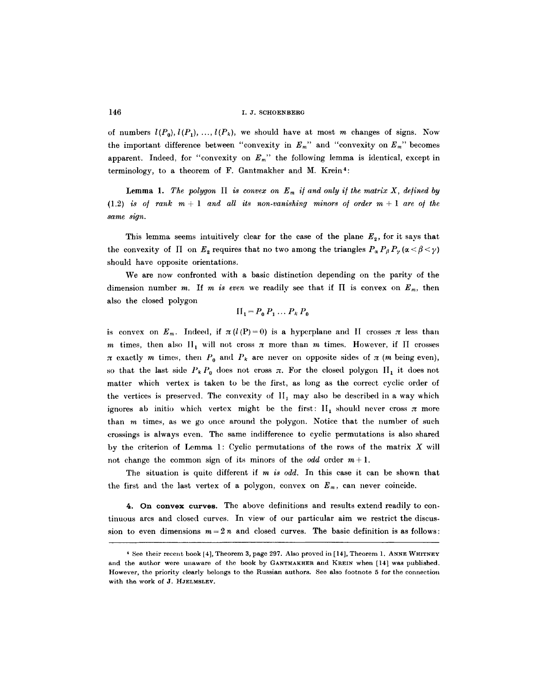of numbers  $l(P_0), l(P_1), ..., l(P_k)$ , we should have at most m changes of signs. Now the important difference between "convexity in  $E_m$ " and "convexity on  $E_m$ " becomes apparent. Indeed, for "convexity on  $E_m$ " the following lemma is identical, except in terminology, to a theorem of F. Gantmakher and M. Krein4:

Lemma 1. The polygon  $\Pi$  is convex on  $E_m$  if and only if the matrix X, defined by  $(1.2)$  *is of rank*  $m + 1$  *and all its non-vanishing minors of order*  $m + 1$  *are of the same sign.* 

This lemma seems intuitively clear for the case of the plane  $E<sub>2</sub>$ , for it says that the convexity of  $\Pi$  on  $E_2$  requires that no two among the triangles  $P_\alpha P_\beta P_\gamma (\alpha < \beta < \gamma)$ should have opposite orientations.

We are now confronted with a basic distinction depending on the parity of the dimension number m. If m is even we readily see that if  $\Pi$  is convex on  $E_m$ , then also the closed polygon

$$
\Pi_1 = P_0 P_1 \dots P_k P_0
$$

is convex on  $E_m$ . Indeed, if  $\pi(l(P)=0)$  is a hyperplane and II crosses  $\pi$  less than m times, then also  $H_1$  will not cross  $\pi$  more than m times. However, if  $\Pi$  crosses  $\pi$  exactly m times, then  $P_0$  and  $P_k$  are never on opposite sides of  $\pi$  (m being even), so that the last side  $P_k P_0$  does not cross  $\pi$ . For the closed polygon II<sub>1</sub> it does not matter which vertex is taken to be the first, as long as the correct cyclic order of the vertices is preserved. The convexity of  $II_1$  may also be described in a way which ignores ab initio which vertex might be the first:  $II_1$  should never cross  $\pi$  more than m times, as we go once around the polygon. Notice that the number of such crossings is always even. The same indifference to cyclic permutations is also shared by the criterion of Lemma 1: Cyclic permutations of the rows of the matrix  $X$  will not change the common sign of its minors of the *odd* order  $m+1$ .

The situation is quite different if *m is odd.* In this case it can be shown that the first and the last vertex of a polygon, convex on  $E_m$ , can never coincide.

4. On convex curves. The above definitions and results extend readily to continuous arcs and closed curves. In view of our particular aim we restrict the discussion to even dimensions  $m = 2n$  and closed curves. The basic definition is as follows:

<sup>4</sup> See their recent book [4], Theorem 3, page 297. Also proved in [14], Theorem 1. ANNE WHITNEY and the author were unaware of the book by GANTMAKHER and KREIN when [14] was published. However, the priority clearly belongs to the Russian authors. See also footnote 5 for the connection with tha work of J. HJELMSLEV.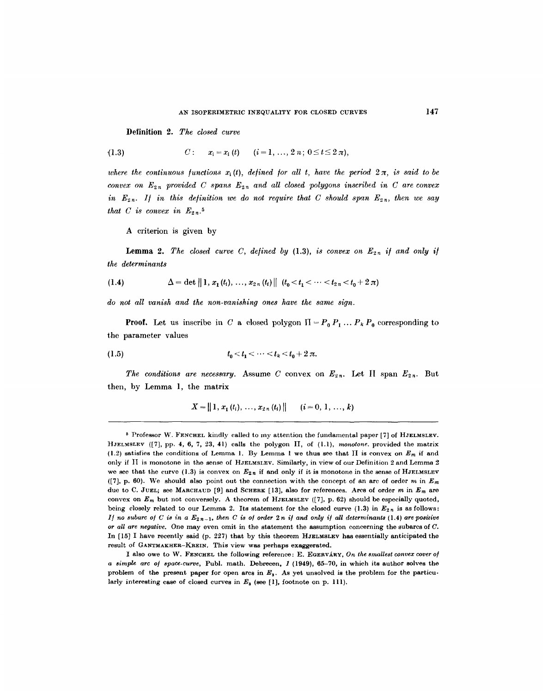Definition 2. *The closed curve* 

(1.3) 
$$
C: x_i = x_i(t) \quad (i = 1, ..., 2 \, n; \, 0 \leq t \leq 2 \, \pi)
$$

where the continuous functions  $x_i(t)$ , defined for all t, have the period  $2\pi$ , is said to be *convex on*  $E_{2n}$  provided C spans  $E_{2n}$  and all closed polygons inscribed in C are convex *in*  $E_{2n}$ . If in this definition we do not require that C should span  $E_{2n}$ , then we say *that C is convex in*  $E_{2n}$ .<sup>5</sup>

A criterion is given by

**Lemma 2.** The closed curve C, defined by (1.3), is convex on  $E_{2n}$  if and only if *the determinants* 

(1.4) 
$$
\Delta = \det \| 1, x_1(t_1), \ldots, x_{2n}(t_i) \| \left( t_0 < t_1 < \cdots < t_{2n} < t_0 + 2 \pi \right)
$$

*do not all vanish and the non-vanishing ones have the same sign.* 

**Proof.** Let us inscribe in C a closed polygon  $\Pi = P_0 P_1 ... P_k P_0$  corresponding to the parameter values

(1.5) 
$$
t_0 < t_1 < \cdots < t_k < t_0 + 2\pi.
$$

*The conditions are necessary.* Assume C convex on  $E_{2n}$ . Let II span  $E_{2n}$ . But then, by Lemma l, the matrix

$$
X = \| 1, x_1(t_i), \ldots, x_{2n}(t_i) \| \quad (i = 0, 1, \ldots, k)
$$

<sup>5</sup> Professor W. FENCHEL kindly called to my attention the fundamental paper [7] of HJELMSLEV. ]~JELMSLEV ([7], pp. 4, 6, 7, 23, 41) calls the polygon IT, of (l.l), *nmnotone,* provided the matrix (1.2) satisfies the conditions of Lemma 1. By Lemma 1 we thus see that  $\Pi$  is convex on  $E_m$  if and only if ]I is monotone in the sense of HJELMSLEV. Similarly, in view of our Definition 2 and Lemma 2 we see that the curve (1.3) is convex on  $E_{2n}$  if and only if it is monotone in the sense of HJELMSLEV ([7], p. 60). We should also point out the connection with the concept of an arc of order m in  $E_m$ due to C. JUEL; see MARCHAUD [9] and SCHERK [13], also for references. Arcs of order m in *Em are*  convex on  $E_m$  but not conversely. A theorem of HJELMSLEV ([7], p. 62) should be especially quoted, being closely related to our Lemma 2. Its statement for the closed curve (1.3) in  $E_{2n}$  is as follows: *1]* no subarc of C is in a  $E_{2n-1}$ , then C is of order 2n if and only if all determinants (1.4) are positive *or all are negative.* One may even omit in the statement the assumption concerning the subarcs of C. In  $[15]$  I have recently said (p. 227) that by this theorem HJELMSLEV has essentially anticipated the result of GANTMAKHER-KREIN. This view was perhaps exaggerated.

I also owe to W. FENCHEL the following reference: E. EGERVARY, On the smallest convex cover of *a simple arc o/ space-curve,* Publ. math. Debreeen, 1 (1949), 65-70, in which its author solves the problem of the present paper for open arcs in  $E_3$ . As yet unsolved is the problem for the particularly interesting case of closed curves in  $E_3$  (see [1], footnote on p. 111).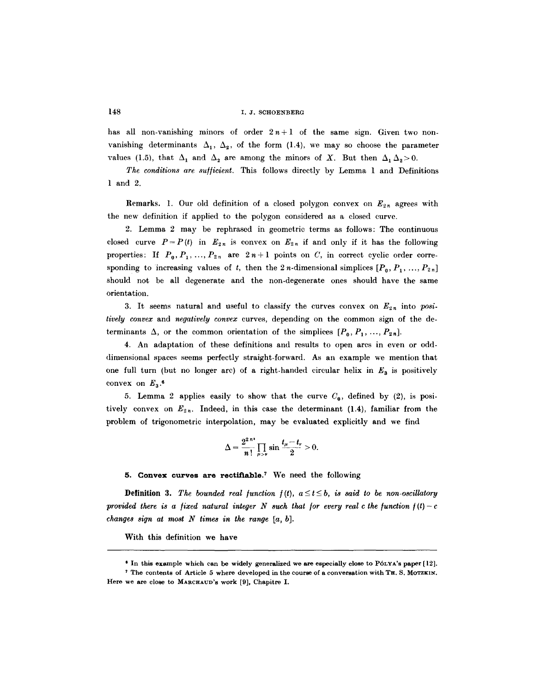has all non-vanishing minors of order  $2n+1$  of the same sign. Given two nonvanishing determinants  $\Delta_1$ ,  $\Delta_2$ , of the form (1.4), we may so choose the parameter values (1.5), that  $\Delta_1$  and  $\Delta_2$  are among the minors of X. But then  $\Delta_1 \Delta_2 > 0$ .

*The conditions are suf/icient.* This follows directly by Lemma 1 and Definitions 1 and 2.

**Remarks.** 1. Our old definition of a closed polygon convex on  $E_{2n}$  agrees with the new definition if applied to the polygon considered as a closed curve.

2. Lemma 2 may be rephrased in geometric terms as follows: The continuous closed curve  $P=P(t)$  in  $E_{2n}$  is convex on  $E_{2n}$  if and only if it has the following properties: If  $P_0, P_1, ..., P_{2n}$  are  $2n+1$  points on C, in correct cyclic order corresponding to increasing values of t, then the 2n-dimensional simplices  $[P_0, P_1, ..., P_{2n}]$ should not be all degenerate and the non-degenerate ones should have the same orientation.

3. It seems natural and useful to classify the curves convex on  $E_{2n}$  into *positively convex* and *negatively convex* curves, depending on the common sign of the determinants  $\Delta$ , or the common orientation of the simplices  $[P_0, P_1, ..., P_{2n}]$ .

4. An adaptation of these definitions and results to open arcs in even or odddimensional spaces seems perfectly straight-forward. As an example we mention that one full turn (but no longer arc) of a right-handed circular helix in  $E_3$  is positively convex on  $E_3$ .<sup>6</sup>

5. Lemma 2 applies easily to show that the curve  $C_0$ , defined by (2), is positively convex on  $E_{2n}$ . Indeed, in this case the determinant (1.4), familiar from the problem of trigonometric interpolation, may be evaluated explicitly and we find

$$
\Delta = \frac{2^{2 n}}{n!} \prod_{\mu > \nu} \sin \frac{t_{\mu} - t_{\nu}}{2} > 0.
$$

**5. Convex curves are rectifiable. 7 We need** the following

**Definition 3.** The bounded real function  $f(t)$ ,  $a \le t \le b$ , is said to be non-oscillatory *provided there is a fixed natural integer N such that for every real c the function*  $f(t)-c$ *changes sign at most N times in the range [a, b].* 

With this definition we have

**<sup>\*</sup> In this example which can be widely generalized we are especially close to P6LYA'S paper [12].** 

**<sup>7</sup> The contents of Article 5 where developed in the course of a conversation with TH. S. MOTZKIN. Here we are close to MARCHAUD's work [9], Chapitre I.**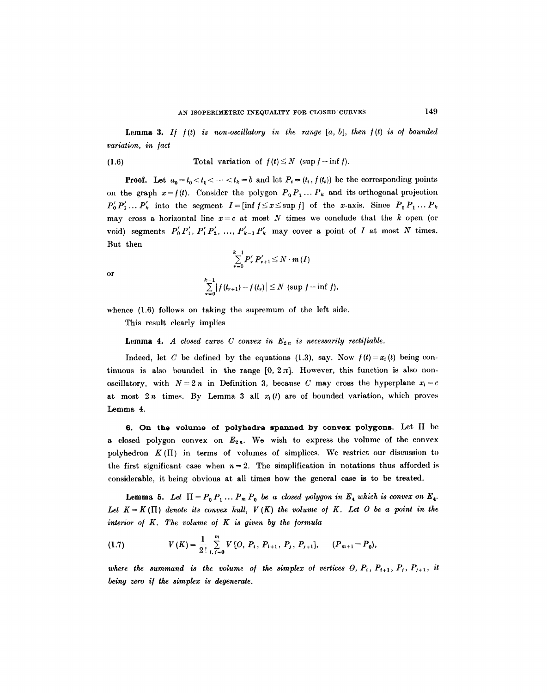**Lemma 3.** If  $f(t)$  is non-oscillatory in the range  $[a, b]$ , then  $f(t)$  is of bounded *variation, in /act* 

(1.6) Total variation of 
$$
f(t) \leq N
$$
 (sup  $f$  – inf  $f$ ).

**Proof.** Let  $a_0 = t_0 < t_1 < \cdots < t_k = b$  and let  $P_i = (t_i, f(t_i))$  be the corresponding points on the graph  $x = f(t)$ . Consider the polygon  $P_0 P_1 \ldots P_k$  and its orthogonal projection  $P'_0 P'_1 ... P'_k$  into the segment  $I = [\inf f \leq x \leq \sup f]$  of the x-axis. Since  $P_0 P_1 ... P_k$ may cross a horizontal line  $x=c$  at most N times we conclude that the k open (or void) segments  $P'_0 P'_1, P'_1 P'_2, ..., P'_{k-1} P'_k$  may cover a point of I at most N times. But then

$$
\sum_{\nu=0}^{k-1} P'_{\nu} P'_{\nu+1} \leq N \cdot m \, (I)
$$
  

$$
\sum_{\nu=0}^{k-1} |f(t_{\nu+1}) - f(t_{\nu})| \leq N \, (\sup f - \inf f),
$$

or

whence 
$$
(1.6)
$$
 follows on taking the supremum of the left side.

This result clearly implies

# **Lemma 4.** A closed curve C convex in  $E_{2n}$  is necessarily rectifiable.

Indeed, let C be defined by the equations (1.3), say. Now  $f(t) = x_i(t)$  being continuous is also bounded in the range  $[0, 2\pi]$ . However, this function is also nonoscillatory, with  $N = 2n$  in Definition 3, because C may cross the hyperplane  $x_i = c$ at most  $2n$  times. By Lemma 3 all  $x_i(t)$  are of bounded variation, which proves Lemma 4.

**6. On the volume of polyhedra spanned by convex polygons. Let II** be a closed polygon convex on  $E_{2n}$ . We wish to express the volume of the convex polyhedron  $K(\Pi)$  in terms of volumes of simplices. We restrict our discussion to the first significant case when  $n = 2$ . The simplification in notations thus afforded is considerable, it being obvious at all times how the general case is to be treated.

**Lemma 5.** Let  $\Pi = P_0 P_1 \dots P_m P_0$  be a closed polygon in  $E_4$  which is convex on  $E_4$ . Let  $K=K(\Pi)$  denote its convex hull,  $V(K)$  the volume of K. Let O be a point in the interior of K. The volume of K is given by the formula

(1.7) 
$$
V(K) = \frac{1}{2!} \sum_{i,j=0}^{m} V[O, P_i, P_{i+1}, P_j, P_{j+1}], \quad (P_{m+1} = P_0),
$$

where the summand is the volume of the simplex of vertices  $O, P_i, P_{i+1}, P_j, P_{j+1}, i$ *being zero i/ the simplex is degenerate.*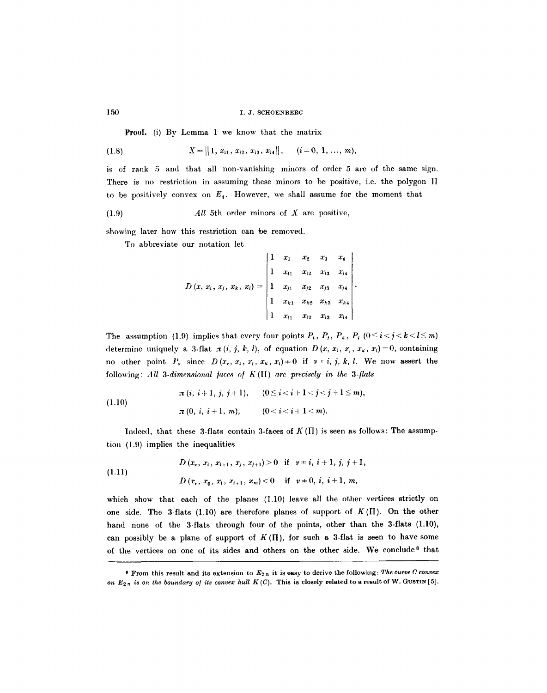Proof. (i) By Lemma 1 we know that the matrix

$$
(1.8) \tX = ||1, x_{i1}, x_{i2}, x_{i3}, x_{i4}||, \t(i = 0, 1, ..., m),
$$

is of rank 5 and that all non-vanishing minors of order 5 are of the same sign. There is no restriction in assuming these minors to be positive, i.e. the polygon  $\Pi$ to be positively convex on  $E_4$ . However, we shall assume for the moment that

(1.9) *All* 5th order minors of X are positive,

showing later how this restriction can be removed.

To abbreviate our notation let

$$
D(x, x_{i}, x_{j}, x_{k}, x_{l}) = \begin{vmatrix} 1 & x_{1} & x_{2} & x_{3} & x_{4} \\ 1 & x_{i1} & x_{i2} & x_{i3} & x_{i4} \\ 1 & x_{j1} & x_{j2} & x_{j3} & x_{j4} \\ 1 & x_{k1} & x_{k2} & x_{k3} & x_{k4} \\ 1 & x_{l1} & x_{l2} & x_{l3} & x_{l4} \end{vmatrix}.
$$

The assumption (1.9) implies that every four points  $P_i$ ,  $P_j$ ,  $P_k$ ,  $P_l$  ( $0 \le i < j < k < l \le m$ ) determine uniquely a 3-flat  $\pi(i, j, k, l)$ , of equation  $D(x, x_i, x_j, x_k, x_l)=0$ , containing no other point  $P_r$ , since  $D(x_r, x_i, x_i, x_k, x_l) = 0$  if  $v = i, j, k, l$ . We now assert the following: *All 3-dimensional /aces o/* K([[) *are precisely in the 3-/lats* 

(1.10)  

$$
\pi(i, i+1, j, j+1), \quad (0 \le i < i+1 < j < j+1 \le m),
$$

$$
\pi(0, i, i+1, m), \quad (0 < i < i+1 < m).
$$

Indeed, that these 3-flats contain 3-faces of  $K(\Pi)$  is seen as follows: The assumption (1.9) implies the inequalities

(1.11) 
$$
D(x_{\nu}, x_{i}, x_{i+1}, x_{j}, x_{j+1}) > 0 \text{ if } \nu \neq i, i+1, j, j+1,
$$

$$
D(x_{\nu}, x_{0}, x_{i}, x_{i+1}, x_{m}) < 0 \text{ if } \nu \neq 0, i, i+1, m,
$$

which show that each of the planes (1.10) leave all the other vertices strictly on one side. The 3-flats (1.10) are therefore planes of support of  $K(\Pi)$ . On the other hand none of the 3-flats through four of the points, other than the 3-flats (1.10), can possibly be a plane of support of  $K(\Pi)$ , for such a 3-flat is seen to have some of the vertices on one of its sides and others on the other side. We conclude<sup>8</sup> that

s From this result and its extension to *E2n* it is easy to derive the following: *The curve C convex*  on  $E_{2n}$  is on the boundary of its convex hull  $K(C)$ . This is closely related to a result of W. GUSTIN [5].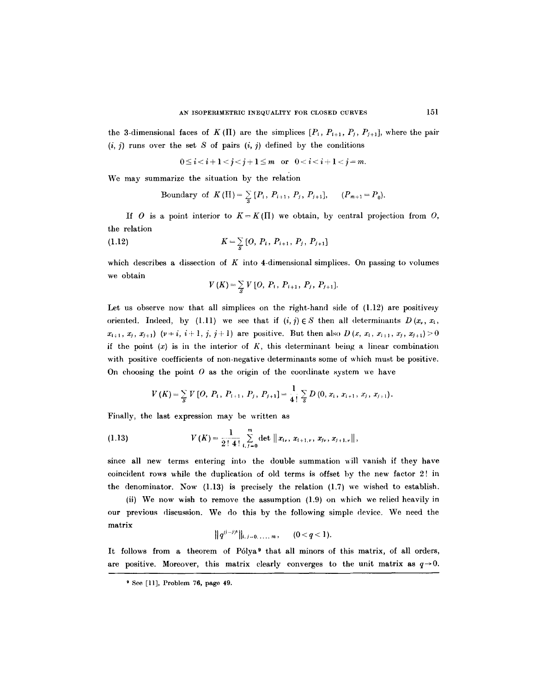the 3-dimensional faces of K (II) are the simplices  $[P_i, P_{i+1}, P_j, P_{j+1}]$ , where the pair  $(i, j)$  runs over the set S of pairs  $(i, j)$  defined by the conditions

$$
0 \le i < i+1 < j < j+1 \le m \quad \text{or} \quad 0 < i < i+1 < j = m.
$$

We may summarize the situation by the relation

Boundary of  $K(\Pi) = \sum_{S} [P_i, P_{i+1}, P_j, P_{j+1}], (P_{m+1} = P_0).$ 

If O is a point interior to  $K = K(\Pi)$  we obtain, by central projection from O, the relation

(1.12) 
$$
K = \sum_{s} [O, P_{i}, P_{i+1}, P_{j}, P_{j+1}]
$$

which describes a dissection of K into 4-dimensional simplices. On passing to volumes we obtain

$$
V(K) = \sum_{S} V\left[O, P_{i}, P_{i+1}, P_{j}, P_{j+1}\right].
$$

Let us observe now that all simplices on the right-hand side of  $(1.12)$  are positively oriented. Indeed, by (l.l.1) we see that if  $(i, j) \in S$  then all determinants  $D(x_i, x_i)$  $x_{i+1}, x_j, x_{j+1}$   $(y \neq i, i+1, j, j+1)$  are positive. But then also  $D(x, x_i, x_{i+1}, x_j, x_{j+1})>0$ if the point  $(x)$  is in the interior of  $K$ , this determinant being a linear combination with positive coefficients of non-negative determinants some of which must be positive. On choosing the point  $O$  as the origin of the coordinate system we have

$$
V(K) = \sum_{S} V\left[O, P_{i}, P_{i+1}, P_{j}, P_{j+1}\right] = \frac{1}{4!} \sum_{S} D\left(0, x_{i}, x_{i+1}, x_{j}, x_{j+1}\right).
$$

Finally, the last expression may be written as

(1.13) 
$$
V(K) = \frac{1}{2! \ 4!} \sum_{i,j=0}^{m} \det ||x_{i_{\nu}}, x_{i+1,\nu}, x_{j_{\nu}}, x_{j+1,\nu}||,
$$

since all new terms entering into the double summation will vanish if they have coincident rows while the duplication of old terms is offset by the new factor 2! in the denominator. Now (1.13) is precisely the relation (1.7) we wished to establish.

(ii) We now wish to remove the assumption (1.9) on which we relied heavily in our previous discussion. We do this by the following simple device. We need the matrix

$$
||q^{(i-j)^*}||_{i,j=0,\ldots,m}, \qquad (0
$$

It follows from a theorem of Pólya<sup>9</sup> that all minors of this matrix, of all orders, are positive. Moreover, this matrix clearly converges to the unit matrix as  $q\rightarrow 0$ .

<sup>9</sup> See [11], Problem 76, page 49.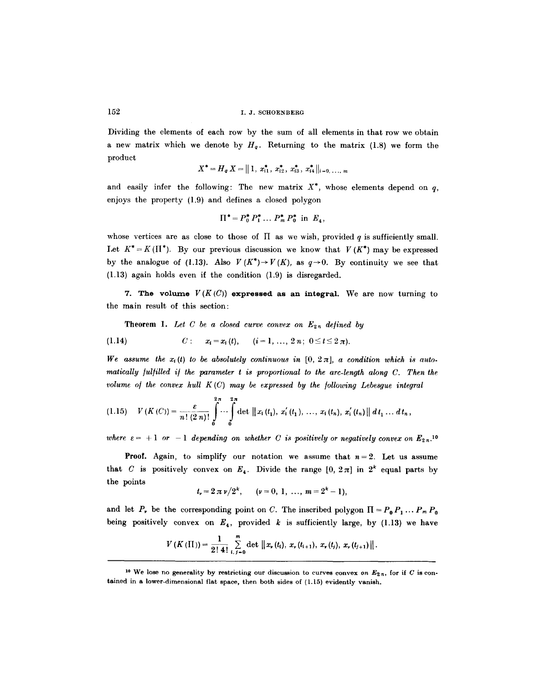Dividing the elements of each row by the sum of all elements in that row we obtain a new matrix which we denote by  $H_q$ . Returning to the matrix (1.8) we form the product

$$
X^* = H_q X = ||1, x_{i1}^*, x_{i2}^*, x_{i3}^*, x_{i4}^*||_{i=0, \ldots, m}
$$

and easily infer the following: The new matrix  $X^*$ , whose elements depend on q, enjoys the property (1.9) and defines a closed polygon

$$
\Pi^* = P_0^* P_1^* \dots P_m^* P_0^* \text{ in } E_4,
$$

whose vertices are as close to those of  $\Pi$  as we wish, provided  $q$  is sufficiently small. Let  $K^* = K(\Pi^*)$ . By our previous discussion we know that  $V(K^*)$  may be expressed by the analogue of (1.13). Also  $V(K^*) \to V(K)$ , as  $q \to 0$ . By continuity we see that (1.13) again holds even if the condition (1.9) is disregarded.

7. The volume  $V(K(C))$  expressed as an integral. We are now turning to the main result of this section:

**Theorem 1.** Let C be a closed curve convex on  $E_{2n}$  defined by

$$
(1.14) \tC: \t x_i = x_i(t), \t (i = 1, ..., 2 n; 0 \le t \le 2 \pi).
$$

We assume the  $x_i(t)$  to be absolutely continuous in  $[0, 2\pi]$ , a condition which is auto*matically fulfilled if the parameter t is proportional to the arc-length along C. Then the volume of the convex hull*  $K(C)$  *may be expressed by the following Lebesgue integral* 

$$
(1.15) \quad V(K(C)) = \frac{\varepsilon}{n! (2 n)!} \int_{0}^{2\pi} \cdots \int_{0}^{2\pi} \det ||x_i(t_1), x'_i(t_1), ..., x_i(t_n), x'_i(t_n)|| dt_1 ... dt_n,
$$

where  $\varepsilon = +1$  or  $-1$  depending on whether C is positively or negatively convex on  $E_{2n}$ <sup>10</sup>

**Proof.** Again, to simplify our notation we assume that  $n=2$ . Let us assume that C is positively convex on  $E_4$ . Divide the range  $[0, 2\pi]$  in  $2^k$  equal parts by the points

$$
t_{\nu}=2\pi \nu/2^{k}, \qquad (\nu=0,\ 1,\ \ldots,\ m=2^{k}-1),
$$

and let P, be the corresponding point on C. The inscribed polygon  $\Pi = P_0 P_1 \dots P_m P_0$ being positively convex on  $E_4$ , provided k is sufficiently large, by (1.13) we have

$$
V(K(\Pi)) = \frac{1}{2! \, 4!} \sum_{i,j=0}^{m} \det \left\| x_{\nu}(t_i), \, x_{\nu}(t_{i+1}), \, x_{\nu}(t_j), \, x_{\nu}(t_{j+1}) \right\|.
$$

<sup>&</sup>lt;sup>10</sup> We lose no generality by restricting our discussion to curves convex on  $E_{2n}$ , for if C is contained in a lower-dimensional flat space, then both sides of (1.15) evidently vanish.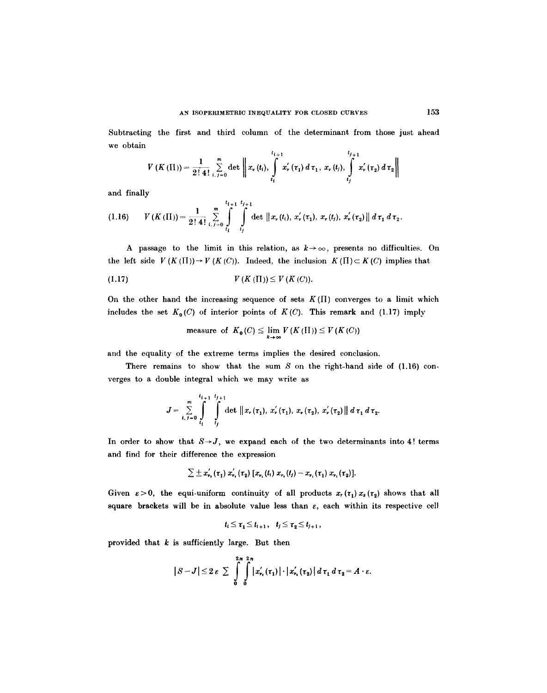Subtracting the first and third column of the determinant from those just ahead we obtain

$$
V(K(\Pi)) = \frac{1}{2! \ 4!} \sum_{i, j=0}^{m} \det \left\| x_{\nu}(t_{i}), \int\limits_{t_{i}}^{t_{i+1}} x_{\nu}'(\tau_{1}) d \tau_{1}, \ x_{\nu}(t_{j}), \int\limits_{t_{j}}^{t_{j+1}} x_{\nu}'(\tau_{2}) d \tau_{2} \right\|
$$

and finally

$$
(1.16) \qquad V(K(\Pi)) = \frac{1}{2!\ 4!} \sum_{i,j=0}^{m} \int_{t_i}^{t_{i+1}} \int_{t_j}^{t_{j+1}} \det \left\|x_{\nu}(t_i),\ x_{\nu}^{'}(\tau_1),\ x_{\nu}(t_j),\ x_{\nu}^{'}(\tau_2)\right\| d\tau_1 d\tau_2.
$$

A passage to the limit in this relation, as  $k \rightarrow \infty$ , presents no difficulties. On the left side  $V(K(\Pi)) \to V(K(C))$ . Indeed, the inclusion  $K(\Pi) \subset K(C)$  implies that

$$
(1.17) \tV(K(\Pi)) \leq V(K(C)).
$$

On the other hand the increasing sequence of sets  $K(\Pi)$  converges to a limit which includes the set  $K_0(C)$  of interior points of  $K(C)$ . This remark and (1.17) imply

measure of 
$$
K_0(C) \le \lim_{k \to \infty} V(K(\Pi)) \le V(K(C))
$$

and the equality of the extreme terms implies the desired conclusion.

There remains to show that the sum  $S$  on the right-hand side of  $(1.16)$  converges to a double integral which we may write as

$$
J = \sum_{i, j=0}^{m} \int_{t_{i}}^{t_{i+1}} \int_{t_{j}}^{t_{j+1}} \det \left\|x_{r}(\tau_{1}), x_{r}^{'}(\tau_{1}), x_{r}(\tau_{2}), x_{r}^{'}(\tau_{2})\right\| d\tau_{1} d\tau_{2}.
$$

In order to show that  $S \rightarrow J$ , we expand each of the two determinants into 4! terms and find for their difference the expression

$$
\sum \pm x_{\nu_1}'(\tau_1) x_{\nu_2}'(\tau_2) [x_{\nu_1}(t_1) x_{\nu_2}(t_1) - x_{\nu_1}(\tau_1) x_{\nu_2}(\tau_2)].
$$

Given  $\varepsilon > 0$ , the equi-uniform continuity of all products  $x_r(\tau_1)x_s(\tau_2)$  shows that all square brackets will be in absolute value less than  $\varepsilon$ , each within its respective cell

$$
t_i\leq \tau_1\leq t_{i+1},\quad t_j\leq \tau_2\leq t_{j+1},
$$

provided that  $k$  is sufficiently large. But then

$$
|S-J|\leq 2\,\varepsilon\,\sum_{\delta}\,\int_{0}^{2\pi}\int_{0}^{2\pi}\left|x_{\nu_{\epsilon}}'(\tau_{1})\right|\cdot\left|x_{\nu_{\epsilon}}'(\tau_{2})\right|d\,\tau_{1}\,d\,\tau_{2}=A\cdot\varepsilon.
$$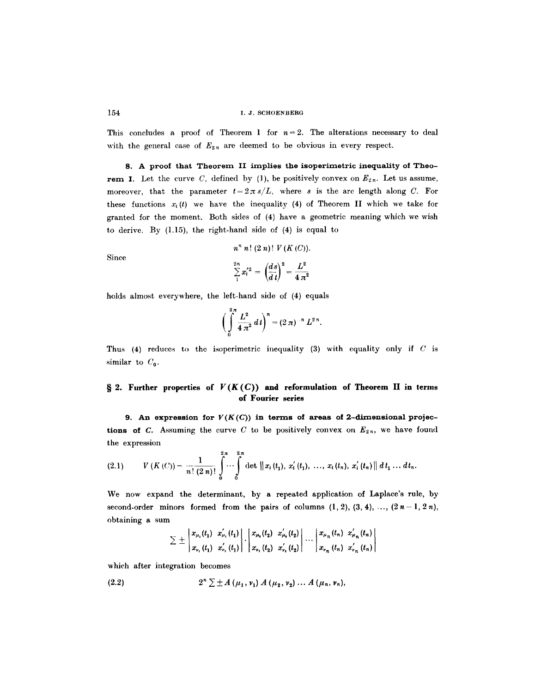This concludes a proof of Theorem 1 for  $n=2$ . The alterations necessary to deal with the general case of  $E_{2n}$  are deemed to be obvious in every respect.

**8. A proof that Theorem** II implies **the isoperimetric inequality of Theorem I.** Let the curve C, defined by (1), be positively convex on  $E_{2n}$ . Let us assume, moreover, that the parameter  $t=2\pi s/L$ , where s is the arc length along C. For these functions  $x_i(t)$  we have the inequality (4) of Theorem II which we take for granted for the moment. Both sides of (4) have a geometric meaning which we wish to derive. By (1.15), the right-hand side of (4) is equal to

$$
n^{n} n! (2 n)! V(K(C)).
$$
  

$$
\sum_{1}^{2n} x_{i}^{'2} = \left(\frac{ds}{d t}\right)^{2} = \frac{L^{2}}{4 \pi^{2}}
$$

Since

holds almost everywhere, the left-hand side of (4) equals

$$
\bigg(\int_{0}^{2\pi} \frac{L^2}{4\pi^2} dt\bigg)^n = (2\pi)^{-n} L^{2\,n}.
$$

Thus (4) reduces to the isoperimetric inequality (3) with equality only if  $C$  is similar to  $C_0$ .

# $\S$  2. Further properties of  $F(K(C))$  and reformulation of Theorem II in terms **of Fourier series**

9. An expression for  $V(K(C))$  in terms of areas of 2-dimensional projec**tions of C.** Assuming the curve C to be positively convex on  $E_{2n}$ , we have found the expression

$$
(2.1) \tV(K(C)) = \frac{1}{n! (2 n)!} \int_{0}^{2\pi} \cdots \int_{0}^{2\pi} \det ||x_{i}(t_{1}), x'_{i}(t_{1}), ..., x_{i}(t_{n}), x'_{i}(t_{n})|| dt_{1} ... dt_{n}.
$$

We now expand the determinant, by a repeated application of Laplace's rule, by second-order minors formed from the pairs of columns  $(1, 2), (3, 4), \ldots, (2n-1, 2n)$ , obtaining a sum

$$
\sum \pm \left| \frac{x_{\mu_1}(t_1)}{x_{\nu_1}(t_1)} \frac{x'_{\mu_1}(t_1)}{x'_{\nu_1}(t_1)} \right| \cdot \left| \frac{x_{\mu_1}(t_2)}{x_{\nu_1}(t_2)} \frac{x'_{\mu_1}(t_2)}{x'_{\nu_1}(t_2)} \right| \cdots \left| \frac{x_{\mu_n}(t_n)}{x_{\nu_n}(t_n)} \frac{x'_{\mu_1}(t_n)}{x'_{\nu_n}(t_n)} \right|
$$

which after integration becomes

(2.2) 
$$
2^{n} \sum \pm A(\mu_{1}, \nu_{1}) A(\mu_{2}, \nu_{2}) ... A(\mu_{n}, \nu_{n}),
$$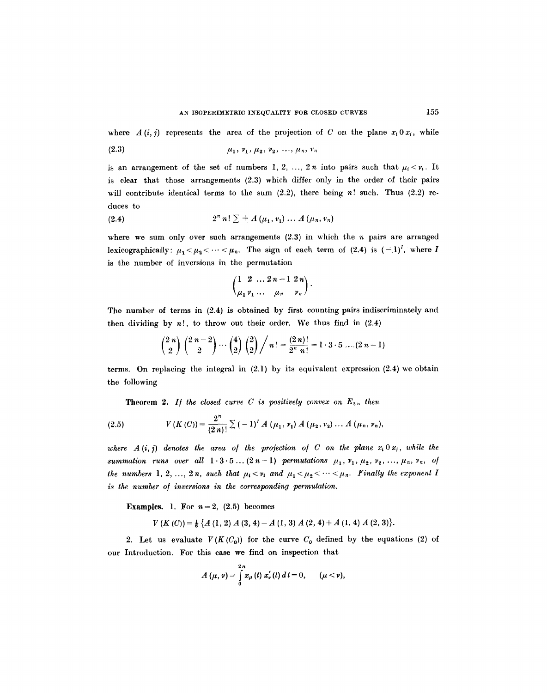where  $A(i, j)$  represents the area of the projection of C on the plane  $x_i \, 0 \, x_j$ , while

(2.3) 
$$
\mu_1, \nu_1, \mu_2, \nu_2, \ldots, \mu_n, \nu_n
$$

is an arrangement of the set of numbers 1, 2, ..., 2n into pairs such that  $\mu_i < \nu_i$ . It is clear that those arrangements (2.3) which differ only in the order of their pairs will contribute identical terms to the sum  $(2.2)$ , there being n! such. Thus  $(2.2)$  reduces to

(2.4) 
$$
2^{n} n! \sum \pm A(\mu_{1}, \nu_{1}) \ldots A(\mu_{n}, \nu_{n})
$$

where we sum only over such arrangements  $(2.3)$  in which the *n* pairs are arranged lexicographically:  $\mu_1 < \mu_2 < \cdots < \mu_n$ . The sign of each term of (2.4) is  $(-1)^I$ , where I is the number of inversions in the permutation

$$
\begin{pmatrix}\n1 & 2 & \dots & 2n-1 & 2n \\
u_1 & v_1 & \dots & u_n & v_n\n\end{pmatrix}
$$

The number of terms in (2.4) is obtained by first counting pairs indiscriminately and then dividing by  $n!$ , to throw out their order. We thus find in  $(2.4)$ 

$$
\binom{2\ n}{2}\binom{2\ n-2}{2}\cdots\binom{4}{2}\binom{2}{2}\bigg/n! = \frac{(2\ n)!}{2^n\ n!} = 1\cdot 3\cdot 5\ \ldots (2\ n-1)
$$

terms. On replacing the integral in  $(2.1)$  by its equivalent expression  $(2.4)$  we obtain the following

**Theorem 2.** If the closed curve C is positively convex on  $E_{2n}$  then

(2.5) 
$$
V(K(C)) = \frac{2^n}{(2\,n)!} \sum_{n=1}^{\infty} (-1)^n A(\mu_1, \nu_1) A(\mu_2, \nu_2) \ldots A(\mu_n, \nu_n),
$$

where  $A(i, j)$  denotes the area of the projection of C on the plane  $x_i \, 0 \, x_j$ , while the *summation runs over all*  $1 \cdot 3 \cdot 5 ... (2n-1)$  *permutations*  $\mu_1, \nu_1, \mu_2, \nu_2, ..., \mu_n, \nu_n$ , of *the numbers* 1, 2, ..., 2 n, such that  $\mu_1 < \nu_1$  and  $\mu_1 < \mu_2 < \cdots < \mu_n$ . Finally the exponent I is the number of inversions in the corresponding permutation.

**Examples.** 1. For  $n=2$ ,  $(2.5)$  becomes

$$
V(K(C)) = \frac{1}{6} \{A(1, 2) A(3, 4) - A(1, 3) A(2, 4) + A(1, 4) A(2, 3)\}.
$$

2. Let us evaluate  $V(K(C_0))$  for the curve  $C_0$  defined by the equations (2) of our Introduction. For this case we find on inspection that

$$
A(\mu, \nu) = \int_{0}^{2\pi} x_{\mu}(t) x_{\nu}'(t) dt = 0, \qquad (\mu < \nu),
$$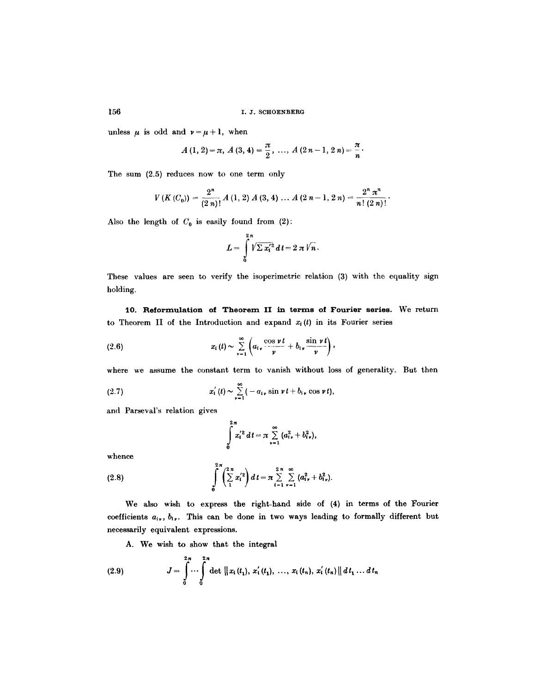unless  $\mu$  is odd and  $\nu = \mu + 1$ , when

$$
A(1, 2) = \pi, A(3, 4) = \frac{\pi}{2}, \ldots, A(2n-1, 2n) = \frac{\pi}{n}.
$$

The sum (2.5) reduces now to one term only

$$
V(K(C_0)) = \frac{2^n}{(2 n)!} A(1,2) A(3,4) ... A(2 n-1, 2 n) = \frac{2^n \pi^n}{n! (2 n)!}.
$$

Also the length of  $C_0$  is easily found from (2):

$$
L=\int\limits_{0}^{2\pi}\sqrt{2\,x_{i}^{'2}}\,d\,t=2\,\pi\,\sqrt{n}\,.
$$

These values are seen to verify the isoperimetric relation (3) with the equality sign holding.

**10. Reformulation of Theorem** II in **terms of Fourier series. We** return to Theorem II of the Introduction and expand  $x_i(t)$  in its Fourier series

(2.6) 
$$
x_i(t) \sim \sum_{\nu=1}^{\infty} \left( a_{i\nu} \frac{\cos \nu t}{\nu} + b_{i\nu} \frac{\sin \nu t}{\nu} \right),
$$

where we assume the constant term to vanish without loss of generality. But then

(2.7) 
$$
x'_{i}(t) \sim \sum_{\nu=1}^{\infty} (-a_{i\nu} \sin \nu t + b_{i\nu} \cos \nu t),
$$

and Parseval's relation gives

$$
\int_{0}^{2\pi} x_{i}^{'2} dt = \pi \sum_{\nu=1}^{\infty} (a_{i\nu}^{2} + b_{i\nu}^{2}),
$$

whence

(2.8) 
$$
\int_{0}^{2\pi} \left(\sum_{1}^{2n} x_{i}^{'2}\right) dt = \pi \sum_{i=1}^{2n} \sum_{\nu=1}^{\infty} (a_{i\nu}^{2} + b_{i\nu}^{2}).
$$

We also wish to express the right-hand side of (4) in terms of the Fourier coefficients  $a_{i\nu}$ ,  $b_{i\nu}$ . This can be done in two ways leading to formally different but necessarily equivalent expressions.

A. We wish to show that the integral

(2.9) 
$$
J = \int_{0}^{2\pi} \cdots \int_{0}^{2\pi} \det \left\| x_{i}(t_{1}), x'_{i}(t_{1}), \ldots, x_{i}(t_{n}), x'_{i}(t_{n}) \right\| dt_{1} \ldots dt_{n}
$$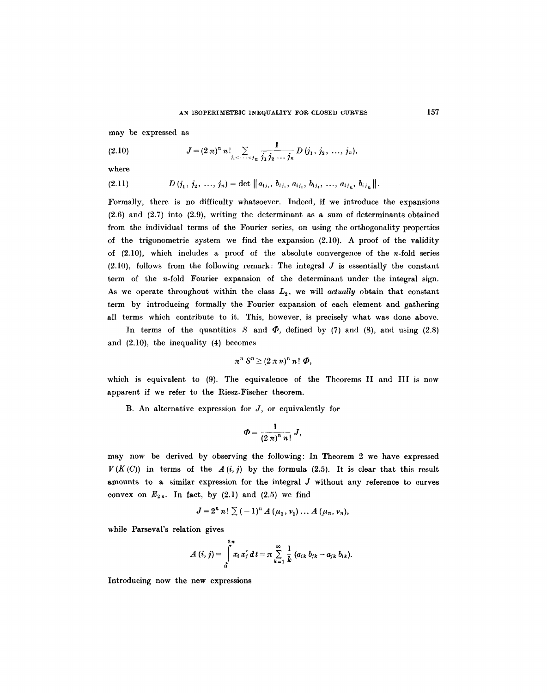may be expressed as

(2.10) 
$$
J = (2 \pi)^n n! \sum_{j_1 < \cdots < j_n} \frac{1}{j_1 j_2 \cdots j_n} D(j_1, j_2, \ldots, j_n),
$$

where

$$
(2.11) \t\t D (j_1, j_2, ..., j_n) = \det ||a_{ij_1}, b_{ij_1}, a_{ij_2}, b_{ij_2}, ..., a_{ij_n}, b_{ij_n}||.
$$

Formally, there is no difficulty whatsoever. Indeed, if we introduce the expansions (2.6) and (2.7) into (2.9), writing the determinant as a sum of determinants obtained from the individual terms of the Fourier series, on using the orthogonality properties of the trigonometric system we find the expansion (2.10). A proof of the validity of  $(2.10)$ , which includes a proof of the absolute convergence of the n-fold series  $(2.10)$ , follows from the following remark: The integral  $J$  is essentially the constant term of the n-fold Fourier expansion of the determinant under the integral sign. As we operate throughout within the class  $L_2$ , we will *actually* obtain that constant term by introducing formally the Fourier expansion of each element and gathering all terms which contribute to it. This, however, is precisely what was done above.

In terms of the quantities S and  $\Phi$ , defined by (7) and (8), and using (2.8) and (2.10), the inequality (4) becomes

$$
\pi^n S^n \geq (2 \pi n)^n n! \phi,
$$

which is equivalent to (9). The equivalence of the Theorems II and III is now apparent if we refer to the Riesz-Fischer theorem.

B. An alternative expression for  $J$ , or equivalently for

$$
\varPhi = \frac{1}{(2\,\pi)^n\,n!}\,J,
$$

may now be derived by observing the following: In Theorem 2 we have expressed  $V(K(C))$  in terms of the  $A(i, j)$  by the formula (2.5). It is clear that this result amounts to a similar expression for the integral J without any reference to curves convex on  $E_{2n}$ . In fact, by (2.1) and (2.5) we find

$$
J=2^{n} n! \sum_{n=1}^{\infty} (-1)^{n} A(\mu_{1}, \nu_{1}) \ldots A(\mu_{n}, \nu_{n}),
$$

while Parseval's relation gives

$$
A(i, j) = \int_{0}^{2\pi} x_i x'_j dt = \pi \sum_{k=1}^{\infty} \frac{1}{k} (a_{ik} b_{jk} - a_{jk} b_{ik}).
$$

Introducing now the new expressions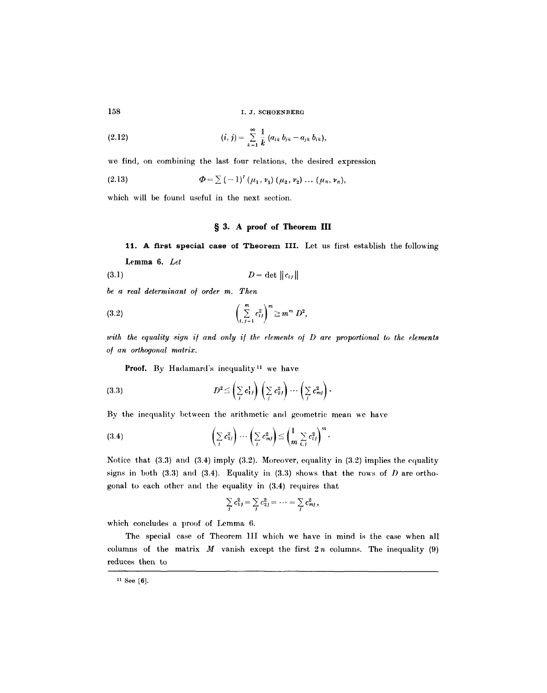(2.12) 
$$
(i, j) = \sum_{k=1}^{\infty} \frac{1}{k} (a_{ik} b_{jk} - a_{jk} b_{ik}),
$$

we find, on combining the last four relations, the desired expression

(2.13) 
$$
\Phi = \sum (-1)^l (\mu_1, \nu_1) (\mu_2, \nu_2) \dots (\mu_n, \nu_n),
$$

which will be found useful in the next section.

# **w 3. A proof of Theorem III**

11. A first special case of Theorem III. Let us first establish the following Lemma 6. *Let* 

$$
(3.1) \t\t D = \det ||c_{ij}||
$$

*be a real determinant o/ order m. Then* 

(3.2) 
$$
\left(\sum_{i,j=1}^{m} c_{ij}^{2}\right)^{m} \geq m^{m} D^{2},
$$

with the equality sign if and only if the elements of D are proportional to the elements  $of$  an orthogonal matrix.

Proof. By Hadamard's inequality<sup>11</sup> we have

(3.3) 
$$
D^2 \leq \left(\sum_j c_{1j}^1\right) \left(\sum_j c_{2j}^2\right) \cdots \left(\sum_j c_{mj}^2\right).
$$

By the inequality between the arithmetic and geometric mean we have

$$
(3.4) \qquad \left(\sum_{j} c_{1j}^{2}\right)\cdots\left(\sum_{j} c_{mj}^{2}\right)\leq\left(\frac{1}{m}\sum_{i,j} c_{ij}^{2}\right)^{m}.
$$

Notice that (3.3) and (3.4) imply (3.2). Moreover, equality in (3.2) implies the equality signs in both (3.3) and (3.4). Equality in (3.3) shows that the rows of  $D$  are orthogonal to each other and the equality in (3.4) requires that

$$
\sum_j c_{1j}^2 = \sum_j c_{2j}^2 = \cdots = \sum_j c_{mj}^2,
$$

which concludes a proof of Lemma 6.

The special case of Theorem III which we have in mind is the case when all columns of the matrix  $M$  vanish except the first  $2n$  columns. The inequality (9) reduces then to

<sup>11</sup> See [6].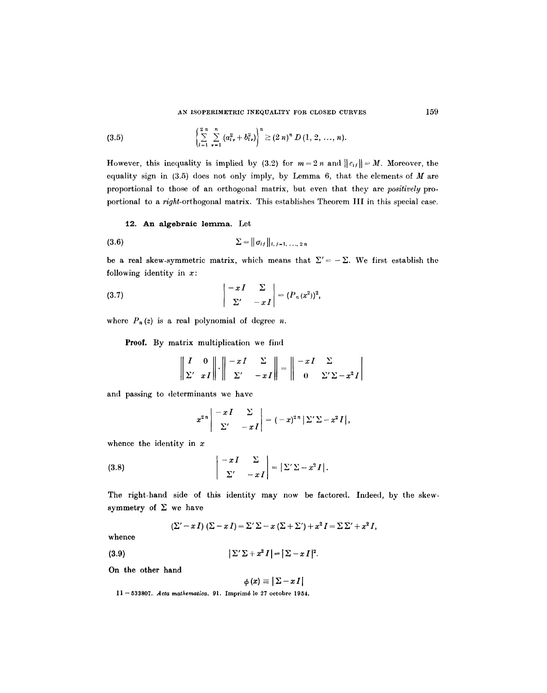(3.5) 
$$
\left\{\sum_{i=1}^{2n} \sum_{\nu=1}^{n} (a_{i\nu}^2 + b_{i\nu}^2)\right\}^n \geq (2 n)^n D(1, 2, ..., n).
$$

However, this inequality is implied by (3.2) for  $m=2n$  and  $||c_{ij}|| = M$ . Moreover, the equality sign in  $(3.5)$  does not only imply, by Lemma 6, that the elements of  $M$  are proportional to those of an orthogonal matrix, but even that they are *positively* proportional to a *right-orthogonal matrix*. This establishes Theorem III in this special case.

# 12. **An algebraic** lernma. Let

(3.6) 
$$
\Sigma = || \sigma_{ij} ||_{i,j=1,\ldots,2n}
$$

be a real skew-symmetric matrix, which means that  $\Sigma' = - \Sigma$ . We first establish the following identity in  $x$ :

(3.7) 
$$
\begin{vmatrix} -xI & \Sigma \\ \Sigma' & -xI \end{vmatrix} = (P_n(x^2))^2,
$$

where  $P_n(z)$  is a real polynomial of degree n.

Proof. By matrix multiplication we find

$$
\left\| \begin{array}{cc} I & 0 \\ \Sigma' & xI \end{array} \right\| \cdot \left\| \begin{array}{cc} -xI & \Sigma \\ \Sigma' & -xI \end{array} \right\| = \left\| \begin{array}{cc} -xI & \Sigma \\ 0 & \Sigma'\Sigma - x^2I \end{array} \right|
$$

and passing to determinants we have

$$
x^{2n}\begin{vmatrix}-xI & \Sigma \\ \Sigma' & -xI\end{vmatrix} = (-x)^{2n}|\Sigma'\Sigma - x^2I|,
$$

whence the identity in  $x$ 

(3.8) 
$$
\begin{vmatrix} -xI & \Sigma \\ \Sigma' & -xI \end{vmatrix} = \left| \Sigma' \Sigma - x^2 I \right|.
$$

The right-hand side of this identity may now be factored. Indeed, by the skewsymmetry of  $\Sigma$  we have

$$
(\Sigma'-x I) (\Sigma-x I) = \Sigma' \Sigma - x (\Sigma + \Sigma') + x^2 I = \Sigma \Sigma' + x^2 I,
$$

whence

**(3.9)**   $|\Sigma'\Sigma + x^2I| = |\Sigma - xI|^2.$ 

On the other hand

$$
|\phi\left(x\right)\equiv\left|\,\Sigma-x\,I\,\right|
$$

11 -- 533807. *Acta mathe~tiea.* 91. Imprim6 lo 27 oetobre 1954.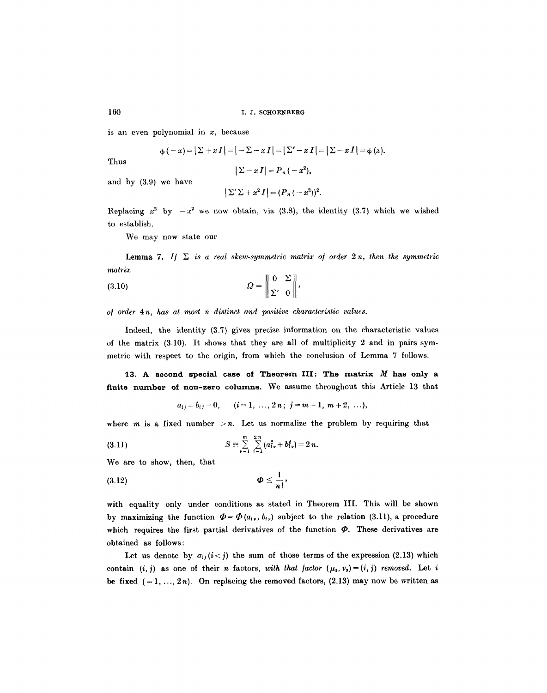is an even polynomial in *x,* because

$$
\phi(-x) = |\sum + x I| = |- \sum - x I| = |\sum' - x I| = |\sum - x I| = \phi(x).
$$

Thus

$$
|\Sigma-x I|=P_n(-x^2),
$$

and by (3.9) we have

$$
\left|\sum'\sum+x^2 I\right|=(P_n\left(-x^2\right))^2.
$$

Replacing  $x^2$  by  $-x^2$  we now obtain, via (3.8), the identity (3.7) which we wished to establish.

We may now state our

**Lemma 7.** If  $\Sigma$  is a real skew-symmetric matrix of order  $2n$ , then the symmetric *matrix* 

$$
(3.10) \t\t\t\t\t\tQ = \begin{Vmatrix} 0 & \Sigma \\ \Sigma' & 0 \end{Vmatrix},
$$

*o/ order 4n, has at most n distinct and positive characteristic values.* 

Indeed, the identity (3.7) gives precise information on the characteristic values of the matrix  $(3.10)$ . It shows that they are all of multiplicity 2 and in pairs symmetric with respect to the origin, from which the conclusion of Lemma 7 follows.

**13. A second special case of Theorem III: The matrix M has only a**  finite number of non-zero columns. We assume throughout this Article 13 that

$$
a_{ij} = b_{ij} = 0
$$
,  $(i = 1, ..., 2n; j = m + 1, m + 2, ...),$ 

where  $m$  is a fixed number  $>n$ . Let us normalize the problem by requiring that

(3.11) 
$$
S \equiv \sum_{\nu=1}^{m} \sum_{i=1}^{2n} (a_{i\nu}^2 + b_{i\nu}^2) = 2 n.
$$

We are to show, then, that

$$
\Phi \leq \frac{1}{n!},
$$

with equality only under conditions as stated in Theorem III. This will be shown by maximizing the function  $\Phi = \Phi(a_t, b_t)$  subject to the relation (3.11), a procedure which requires the first partial derivatives of the function  $\Phi$ . These derivatives are obtained as follows:

Let us denote by  $\sigma_{ij}(i < j)$  the sum of those terms of the expression (2.13) which contain  $(i, j)$  as one of their *n* factors, *with that factor*  $(\mu_s, \nu_s) = (i, j)$  removed. Let i be fixed  $(1, ..., 2n)$ . On replacing the removed factors,  $(2.13)$  may now be written as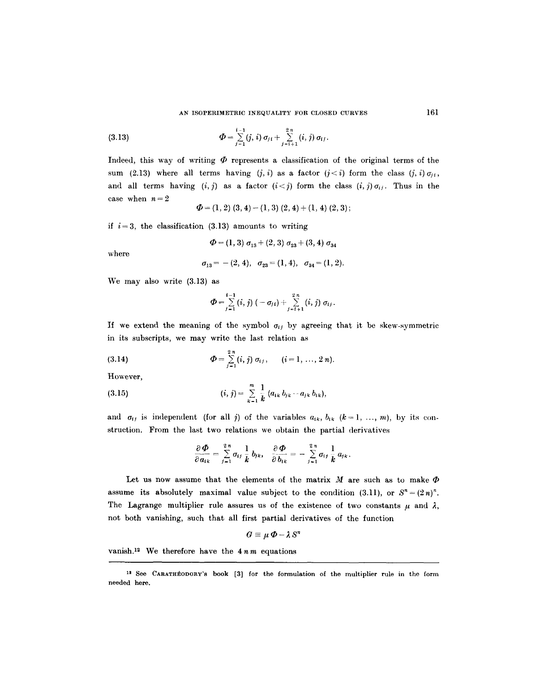(3.13) 
$$
\Phi = \sum_{j=1}^{i-1} (j, i) \sigma_{j,i} + \sum_{j=i+1}^{2n} (i, j) \sigma_{ij}.
$$

Indeed, this way of writing  $\Phi$  represents a classification of the original terms of the sum (2.13) where all terms having  $(i, i)$  as a factor  $(i < i)$  form the class  $(i, i) \sigma_{ii}$ , and all terms having  $(i, j)$  as a factor  $(i < j)$  form the class  $(i, j)\sigma_{ij}$ . Thus in the case when  $n=2$ 

$$
\Phi = (1,2) (3,4) - (1,3) (2,4) + (1,4) (2,3);
$$

if  $i=3$ , the classification (3.13) amounts to writing

$$
\Phi = (1,3) \sigma_{13} + (2,3) \sigma_{23} + (3,4) \sigma_{34}
$$

where

$$
\sigma_{13} = -(2, 4), \quad \sigma_{23} = (1, 4), \quad \sigma_{34} = (1, 2).
$$

We may also write (3.13) as

$$
\Phi = \sum_{j=1}^{i-1} (i, j) (-\sigma_{j i}) + \sum_{j=i+1}^{2n} (i, j) \sigma_{i j}.
$$

If we extend the meaning of the symbol  $\sigma_{ij}$  by agreeing that it be skew-symmetric in its subscripts, we may write the last relation as

(3.14) 
$$
\Phi = \sum_{j=1}^{2n} (i, j) \sigma_{ij}, \qquad (i = 1, ..., 2n).
$$

However,

(3.15) 
$$
(i, j) = \sum_{k=1}^{m} \frac{1}{k} (a_{ik} b_{jk} - a_{jk} b_{ik}),
$$

and  $\sigma_{ij}$  is independent (for all j) of the variables  $a_{ik}$ ,  $b_{ik}$  ( $k = 1, ..., m$ ), by its construction. From the last two relations we obtain the partial derivatives

$$
\frac{\partial \Phi}{\partial a_{ik}} = \sum_{j=1}^{2n} \sigma_{ij} \frac{1}{k} b_{jk}, \quad \frac{\partial \Phi}{\partial b_{ik}} = - \sum_{j=1}^{2n} \sigma_{ij} \frac{1}{k} a_{jk}.
$$

Let us now assume that the elements of the matrix  $M$  are such as to make  $\Phi$ assume its absolutely maximal value subject to the condition (3.11), or  $S^n = (2n)^n$ . The Lagrange multiplier rule assures us of the existence of two constants  $\mu$  and  $\lambda$ , not both vanishing, such that all first partial derivatives of the function

$$
G\equiv\mu\,\boldsymbol{\Phi}-\boldsymbol{\lambda}\,S^r
$$

vanish.<sup>12</sup> We therefore have the  $4nm$  equations

<sup>&</sup>lt;sup>12</sup> See CARATHÉODORY's book [3] for the formulation of the multiplier rule in the form needed here.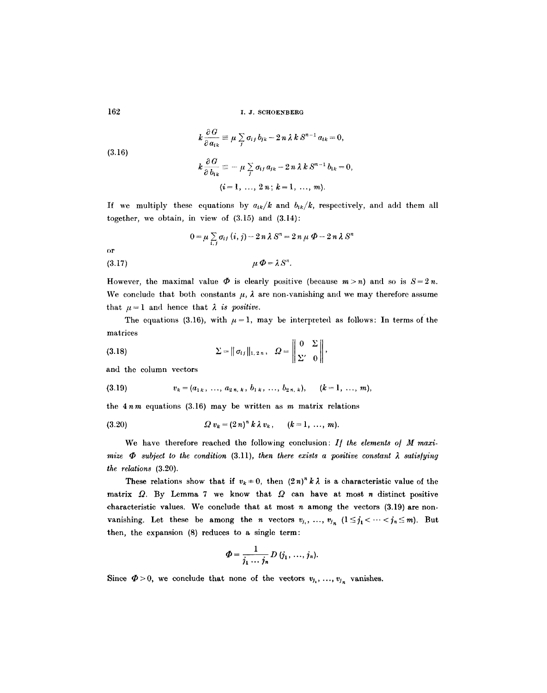(3.16)  

$$
k \frac{\partial G}{\partial a_{ik}} \equiv \mu \sum_j \sigma_{ij} b_{jk} - 2 n \lambda k S^{n-1} a_{ik} = 0,
$$

$$
k \frac{\partial G}{\partial b_{ik}} \equiv - \mu \sum_j \sigma_{ij} a_{jk} - 2 n \lambda k S^{n-1} b_{ik} = 0,
$$

$$
(i = 1, ..., 2 n; k = 1, ..., m).
$$

If we multiply these equations by  $a_{ik}/k$  and  $b_{ik}/k$ , respectively, and add them all together, we obtain, in view of  $(3.15)$  and  $(3.14)$ :

$$
0 = \mu \sum_{i,j} \sigma_{ij} (i,j) - 2 n \lambda S^n = 2 n \mu \Phi - 2 n \lambda S^n
$$

(3.17)  $\mu \Phi = \lambda S^n$ .

However, the maximal value  $\Phi$  is clearly positive (because  $m > n$ ) and so is  $S = 2 n$ . We conclude that both constants  $\mu$ ,  $\lambda$  are non-vanishing and we may therefore assume that  $\mu = 1$  and hence that  $\lambda$  *is positive.* 

The equations (3.16), with  $\mu = 1$ , may be interpreted as follows: In terms of the matrices  $\ddot{\phantom{a}}$ 

(3.18) 
$$
\Sigma = || \sigma_{ij} ||_{1,2\pi}, \quad \Omega = \left\| \begin{array}{cc} 0 & \Sigma \\ \Sigma' & 0 \end{array} \right\|,
$$

and the column vectors

$$
(3.19) \t v_k = (a_{1k}, \ldots, a_{2n, k}, b_{1k}, \ldots, b_{2n, k}), \t (k = 1, \ldots, m),
$$

the  $4nm$  equations (3.16) may be written as  $m$  matrix relations

(3.20) 
$$
Q v_k = (2 n)^n k \lambda v_k, \quad (k = 1, ..., m).
$$

We have therefore reached the following conclusion: If the elements of M maxi*mize*  $\Phi$  *subject to the condition (3.11), then there exists a positive constant*  $\lambda$  *satisfying the relations* (3.20).

These relations show that if  $v_k = 0$ , then  $(2n)^n k \lambda$  is a characteristic value of the matrix  $Q$ . By Lemma 7 we know that  $Q$  can have at most n distinct positive characteristic values. We conclude that at most  $n$  among the vectors  $(3.19)$  are nonvanishing. Let these be among the *n* vectors  $v_{j_1}, \ldots, v_{j_n}$   $(1 \le j_1 < \cdots < j_n \le m)$ . But then, the expansion (8) reduces to a single term:

$$
\Phi = \frac{1}{j_1 \cdots j_n} D(i_1, \ldots, i_n).
$$

Since  $\Phi > 0$ , we conclude that none of the vectors  $v_{i_1}, \ldots, v_{i_n}$  vanishes.

or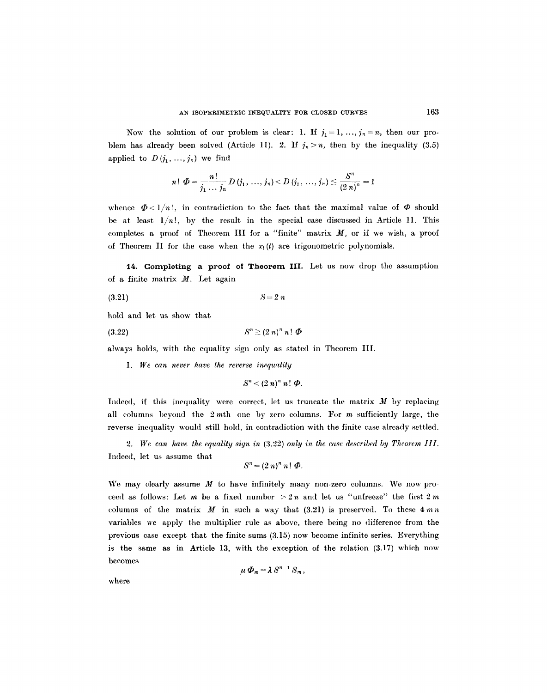Now the solution of our problem is clear: 1. If  $j_1 = 1, ..., j_n = n$ , then our problem has already been solved (Article 11). 2. If  $j_n > n$ , then by the inequality (3.5) applied to  $D(j_1, ..., j_n)$  we find

$$
n! \ \Phi = \frac{n!}{j_1 \cdots j_n} D\left( j_1, \ldots, j_n \right) < D\left( j_1, \ldots, j_n \right) \leq \frac{S^n}{(2\ n)^n} = 1
$$

whence  $\Phi < 1/n!$ , in contradiction to the fact that the maximal value of  $\Phi$  should be at least  $1/n!$ , by the result in the special case discussed in Article 11. This completes a proof of Theorem III for a "finite" matrix  $M$ , or if we wish, a proof of Theorem II for the case when the  $x_i(t)$  are trigonometric polynomials.

14. Completing a proof of Theorem III. Let us now drop the assumption of a finite matrix  $M$ . Let again

$$
(3.21) \t\t S=2 n
$$

hold and let us show that

$$
(3.22) \t\t\t Sn \ge (2 n)n n! \ \Phi
$$

always holds, with the equality sign only as stated in Theorem III.

*1. We can never have the reverse inequality* 

 $S<sup>n</sup> < (2 n)<sup>n</sup> n! \Phi$ .

Indeed, if this inequality were correct, let us truncate the matrix  $M$  by replacing all columns beyond the  $2m$ th one by zero columns. For m sufficiently large, the reverse inequality would still hold, in contradiction with the finite case already settled.

*2. We can have the equality sign in* {3.22) *only in the case described by Theorem III.*  Imleed, let us assume that

$$
S^n=(2 n)^n n!\ \Phi.
$$

We may clearly assume  $M$  to have infinitely many non-zero columns. We now proceed as follows: Let m be a fixed number  $> 2n$  and let us "unfreeze" the first  $2m$ columns of the matrix M in such a way that  $(3.21)$  is preserved. To these  $4mn$ variables we apply the multiplier rule as above, there being no difference from the previous case except that the finite sums (3.15) now become infinite series. Everything is the same as in Article 13, with the exception of the relation (3.17) which now becomes

$$
\mu \Phi_m = \lambda S^{n-1} S_m,
$$

where